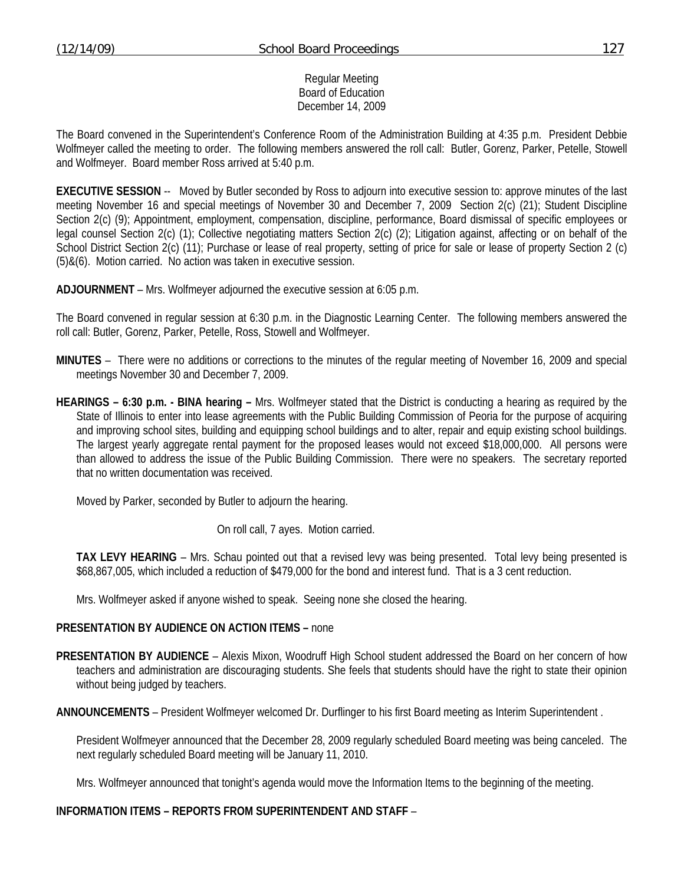#### Regular Meeting Board of Education December 14, 2009

The Board convened in the Superintendent's Conference Room of the Administration Building at 4:35 p.m. President Debbie Wolfmeyer called the meeting to order. The following members answered the roll call: Butler, Gorenz, Parker, Petelle, Stowell and Wolfmeyer. Board member Ross arrived at 5:40 p.m.

**EXECUTIVE SESSION** -- Moved by Butler seconded by Ross to adjourn into executive session to: approve minutes of the last meeting November 16 and special meetings of November 30 and December 7, 2009 Section 2(c) (21); Student Discipline Section 2(c) (9); Appointment, employment, compensation, discipline, performance, Board dismissal of specific employees or legal counsel Section 2(c) (1); Collective negotiating matters Section 2(c) (2); Litigation against, affecting or on behalf of the School District Section 2(c) (11); Purchase or lease of real property, setting of price for sale or lease of property Section 2 (c) (5)&(6). Motion carried. No action was taken in executive session.

**ADJOURNMENT** – Mrs. Wolfmeyer adjourned the executive session at 6:05 p.m.

The Board convened in regular session at 6:30 p.m. in the Diagnostic Learning Center. The following members answered the roll call: Butler, Gorenz, Parker, Petelle, Ross, Stowell and Wolfmeyer.

- **MINUTES** There were no additions or corrections to the minutes of the regular meeting of November 16, 2009 and special meetings November 30 and December 7, 2009.
- **HEARINGS 6:30 p.m. BINA hearing** Mrs. Wolfmeyer stated that the District is conducting a hearing as required by the State of Illinois to enter into lease agreements with the Public Building Commission of Peoria for the purpose of acquiring and improving school sites, building and equipping school buildings and to alter, repair and equip existing school buildings. The largest yearly aggregate rental payment for the proposed leases would not exceed \$18,000,000. All persons were than allowed to address the issue of the Public Building Commission. There were no speakers. The secretary reported that no written documentation was received.

Moved by Parker, seconded by Butler to adjourn the hearing.

On roll call, 7 ayes. Motion carried.

**TAX LEVY HEARING** – Mrs. Schau pointed out that a revised levy was being presented. Total levy being presented is \$68,867,005, which included a reduction of \$479,000 for the bond and interest fund. That is a 3 cent reduction.

Mrs. Wolfmeyer asked if anyone wished to speak. Seeing none she closed the hearing.

#### **PRESENTATION BY AUDIENCE ON ACTION ITEMS –** none

**PRESENTATION BY AUDIENCE** – Alexis Mixon, Woodruff High School student addressed the Board on her concern of how teachers and administration are discouraging students. She feels that students should have the right to state their opinion without being judged by teachers.

**ANNOUNCEMENTS** – President Wolfmeyer welcomed Dr. Durflinger to his first Board meeting as Interim Superintendent .

President Wolfmeyer announced that the December 28, 2009 regularly scheduled Board meeting was being canceled. The next regularly scheduled Board meeting will be January 11, 2010.

Mrs. Wolfmeyer announced that tonight's agenda would move the Information Items to the beginning of the meeting.

#### **INFORMATION ITEMS – REPORTS FROM SUPERINTENDENT AND STAFF** –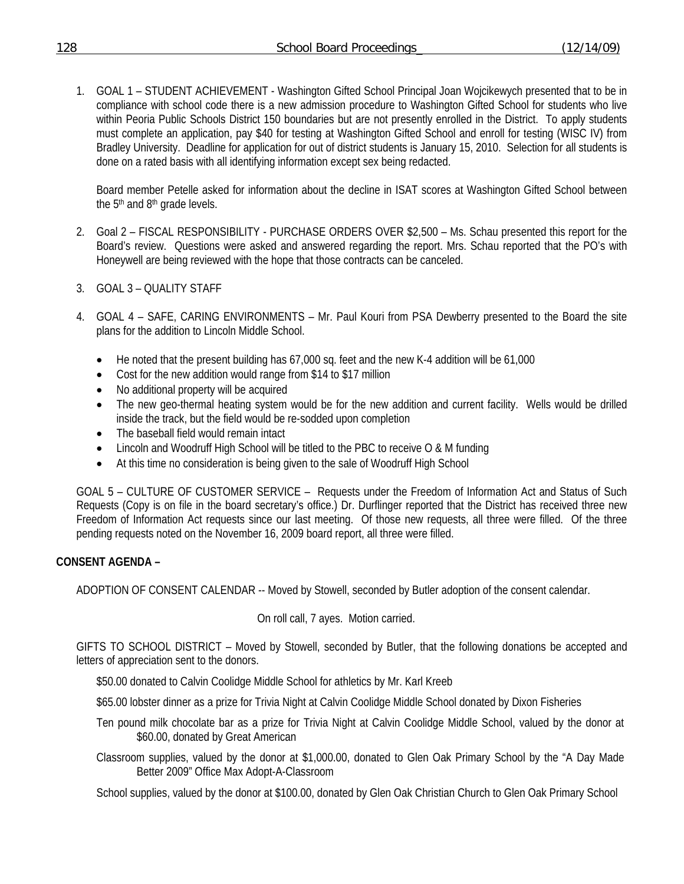1. GOAL 1 – STUDENT ACHIEVEMENT - Washington Gifted School Principal Joan Wojcikewych presented that to be in compliance with school code there is a new admission procedure to Washington Gifted School for students who live within Peoria Public Schools District 150 boundaries but are not presently enrolled in the District. To apply students must complete an application, pay \$40 for testing at Washington Gifted School and enroll for testing (WISC IV) from Bradley University. Deadline for application for out of district students is January 15, 2010. Selection for all students is done on a rated basis with all identifying information except sex being redacted.

Board member Petelle asked for information about the decline in ISAT scores at Washington Gifted School between the 5<sup>th</sup> and 8<sup>th</sup> grade levels.

- 2. Goal 2 FISCAL RESPONSIBILITY PURCHASE ORDERS OVER \$2,500 Ms. Schau presented this report for the Board's review. Questions were asked and answered regarding the report. Mrs. Schau reported that the PO's with Honeywell are being reviewed with the hope that those contracts can be canceled.
- 3. GOAL 3 QUALITY STAFF
- 4. GOAL 4 SAFE, CARING ENVIRONMENTS Mr. Paul Kouri from PSA Dewberry presented to the Board the site plans for the addition to Lincoln Middle School.
	- He noted that the present building has 67,000 sq. feet and the new K-4 addition will be 61,000
	- Cost for the new addition would range from \$14 to \$17 million
	- No additional property will be acquired
	- The new geo-thermal heating system would be for the new addition and current facility. Wells would be drilled inside the track, but the field would be re-sodded upon completion
	- The baseball field would remain intact
	- Lincoln and Woodruff High School will be titled to the PBC to receive O & M funding
	- At this time no consideration is being given to the sale of Woodruff High School

GOAL 5 – CULTURE OF CUSTOMER SERVICE – Requests under the Freedom of Information Act and Status of Such Requests (Copy is on file in the board secretary's office.) Dr. Durflinger reported that the District has received three new Freedom of Information Act requests since our last meeting. Of those new requests, all three were filled. Of the three pending requests noted on the November 16, 2009 board report, all three were filled.

# **CONSENT AGENDA –**

ADOPTION OF CONSENT CALENDAR -- Moved by Stowell, seconded by Butler adoption of the consent calendar.

On roll call, 7 ayes. Motion carried.

GIFTS TO SCHOOL DISTRICT – Moved by Stowell, seconded by Butler, that the following donations be accepted and letters of appreciation sent to the donors.

\$50.00 donated to Calvin Coolidge Middle School for athletics by Mr. Karl Kreeb

\$65.00 lobster dinner as a prize for Trivia Night at Calvin Coolidge Middle School donated by Dixon Fisheries

- Ten pound milk chocolate bar as a prize for Trivia Night at Calvin Coolidge Middle School, valued by the donor at \$60.00, donated by Great American
- Classroom supplies, valued by the donor at \$1,000.00, donated to Glen Oak Primary School by the "A Day Made Better 2009" Office Max Adopt-A-Classroom

School supplies, valued by the donor at \$100.00, donated by Glen Oak Christian Church to Glen Oak Primary School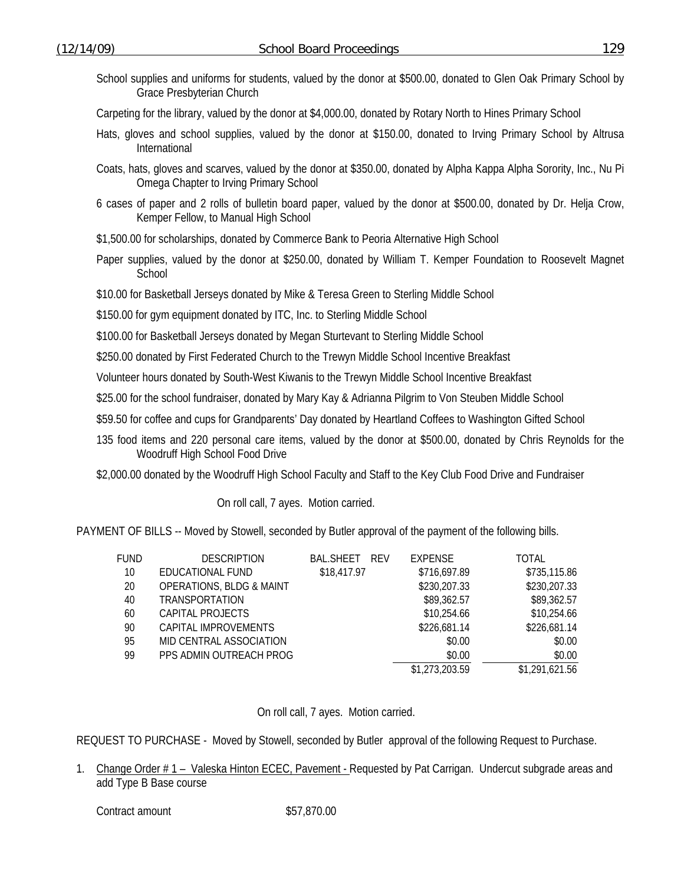- School supplies and uniforms for students, valued by the donor at \$500.00, donated to Glen Oak Primary School by Grace Presbyterian Church
- Carpeting for the library, valued by the donor at \$4,000.00, donated by Rotary North to Hines Primary School
- Hats, gloves and school supplies, valued by the donor at \$150.00, donated to Irving Primary School by Altrusa International
- Coats, hats, gloves and scarves, valued by the donor at \$350.00, donated by Alpha Kappa Alpha Sorority, Inc., Nu Pi Omega Chapter to Irving Primary School
- 6 cases of paper and 2 rolls of bulletin board paper, valued by the donor at \$500.00, donated by Dr. Helja Crow, Kemper Fellow, to Manual High School
- \$1,500.00 for scholarships, donated by Commerce Bank to Peoria Alternative High School
- Paper supplies, valued by the donor at \$250.00, donated by William T. Kemper Foundation to Roosevelt Magnet School
- \$10.00 for Basketball Jerseys donated by Mike & Teresa Green to Sterling Middle School
- \$150.00 for gym equipment donated by ITC, Inc. to Sterling Middle School
- \$100.00 for Basketball Jerseys donated by Megan Sturtevant to Sterling Middle School
- \$250.00 donated by First Federated Church to the Trewyn Middle School Incentive Breakfast
- Volunteer hours donated by South-West Kiwanis to the Trewyn Middle School Incentive Breakfast
- \$25.00 for the school fundraiser, donated by Mary Kay & Adrianna Pilgrim to Von Steuben Middle School
- \$59.50 for coffee and cups for Grandparents' Day donated by Heartland Coffees to Washington Gifted School
- 135 food items and 220 personal care items, valued by the donor at \$500.00, donated by Chris Reynolds for the Woodruff High School Food Drive
- \$2,000.00 donated by the Woodruff High School Faculty and Staff to the Key Club Food Drive and Fundraiser

On roll call, 7 ayes. Motion carried.

PAYMENT OF BILLS -- Moved by Stowell, seconded by Butler approval of the payment of the following bills.

| FUND | <b>DESCRIPTION</b>                  | BAL.SHEET<br><b>RFV</b> | <b>EXPENSE</b> | TOTAL          |
|------|-------------------------------------|-------------------------|----------------|----------------|
| 10   | EDUCATIONAL FUND                    | \$18,417.97             | \$716,697.89   | \$735,115.86   |
| 20   | <b>OPERATIONS, BLDG &amp; MAINT</b> |                         | \$230,207.33   | \$230,207.33   |
| 40   | <b>TRANSPORTATION</b>               |                         | \$89,362.57    | \$89,362.57    |
| 60   | CAPITAL PROJECTS                    |                         | \$10,254.66    | \$10,254.66    |
| 90   | CAPITAL IMPROVEMENTS                |                         | \$226,681.14   | \$226,681.14   |
| 95   | MID CENTRAL ASSOCIATION             |                         | \$0.00         | \$0.00         |
| 99   | PPS ADMIN OUTREACH PROG             |                         | \$0.00         | \$0.00         |
|      |                                     |                         | \$1,273,203.59 | \$1,291,621.56 |
|      |                                     |                         |                |                |

On roll call, 7 ayes. Motion carried.

REQUEST TO PURCHASE - Moved by Stowell, seconded by Butler approval of the following Request to Purchase.

1. Change Order # 1 – Valeska Hinton ECEC, Pavement - Requested by Pat Carrigan. Undercut subgrade areas and add Type B Base course

Contract amount \$57,870.00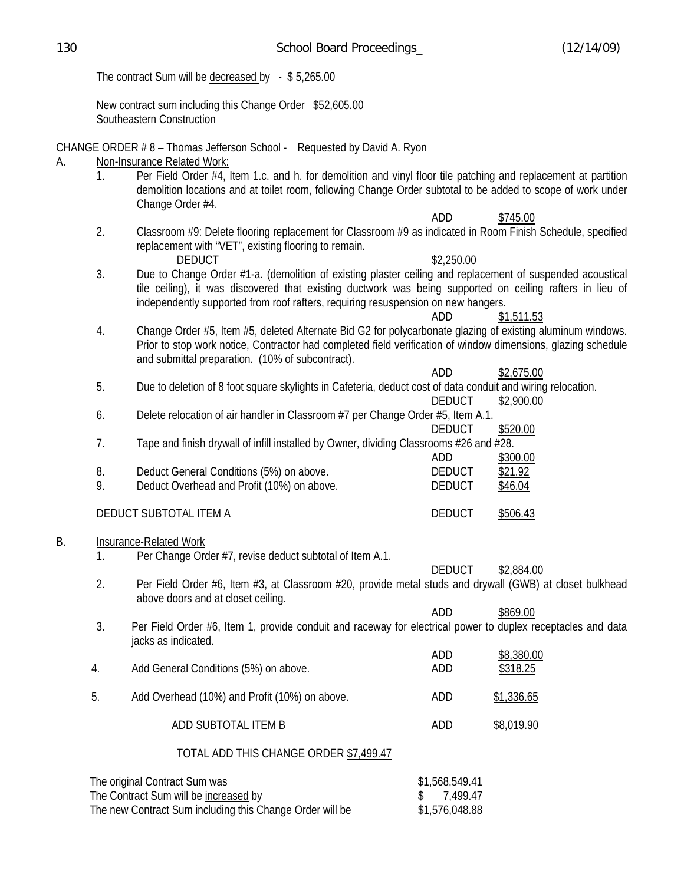|                                                                                                             | The contract Sum will be decreased by $-$ \$5,265.00 |                                                                                                                                                                                                                                                                                                             |                                                    |                                |
|-------------------------------------------------------------------------------------------------------------|------------------------------------------------------|-------------------------------------------------------------------------------------------------------------------------------------------------------------------------------------------------------------------------------------------------------------------------------------------------------------|----------------------------------------------------|--------------------------------|
|                                                                                                             |                                                      | New contract sum including this Change Order \$52,605.00<br>Southeastern Construction                                                                                                                                                                                                                       |                                                    |                                |
| CHANGE ORDER #8 - Thomas Jefferson School - Requested by David A. Ryon<br>Non-Insurance Related Work:<br>А. |                                                      |                                                                                                                                                                                                                                                                                                             |                                                    |                                |
|                                                                                                             | 1 <sub>1</sub>                                       | Per Field Order #4, Item 1.c. and h. for demolition and vinyl floor tile patching and replacement at partition<br>demolition locations and at toilet room, following Change Order subtotal to be added to scope of work under<br>Change Order #4.                                                           |                                                    |                                |
|                                                                                                             | 2.                                                   | Classroom #9: Delete flooring replacement for Classroom #9 as indicated in Room Finish Schedule, specified<br>replacement with "VET", existing flooring to remain.<br><b>DEDUCT</b>                                                                                                                         | <b>ADD</b><br>\$2,250.00                           | \$745.00                       |
|                                                                                                             | 3.                                                   | Due to Change Order #1-a. (demolition of existing plaster ceiling and replacement of suspended acoustical<br>tile ceiling), it was discovered that existing ductwork was being supported on ceiling rafters in lieu of<br>independently supported from roof rafters, requiring resuspension on new hangers. | ADD                                                | \$1,511.53                     |
|                                                                                                             | 4.                                                   | Change Order #5, Item #5, deleted Alternate Bid G2 for polycarbonate glazing of existing aluminum windows.<br>Prior to stop work notice, Contractor had completed field verification of window dimensions, glazing schedule<br>and submittal preparation. (10% of subcontract).                             |                                                    |                                |
|                                                                                                             | 5.                                                   | Due to deletion of 8 foot square skylights in Cafeteria, deduct cost of data conduit and wiring relocation.                                                                                                                                                                                                 | <b>ADD</b><br><b>DEDUCT</b>                        | \$2,675.00<br>\$2,900.00       |
|                                                                                                             | 6.                                                   | Delete relocation of air handler in Classroom #7 per Change Order #5, Item A.1.                                                                                                                                                                                                                             |                                                    |                                |
|                                                                                                             | 7.                                                   | Tape and finish drywall of infill installed by Owner, dividing Classrooms #26 and #28.                                                                                                                                                                                                                      | <b>DEDUCT</b>                                      | \$520.00                       |
|                                                                                                             | 8.<br>9.                                             | Deduct General Conditions (5%) on above.<br>Deduct Overhead and Profit (10%) on above.                                                                                                                                                                                                                      | ADD<br><b>DEDUCT</b><br><b>DEDUCT</b>              | \$300.00<br>\$21.92<br>\$46.04 |
|                                                                                                             |                                                      | DEDUCT SUBTOTAL ITEM A                                                                                                                                                                                                                                                                                      | <b>DEDUCT</b>                                      | \$506.43                       |
| В.                                                                                                          | 1.                                                   | Insurance-Related Work<br>Per Change Order #7, revise deduct subtotal of Item A.1.                                                                                                                                                                                                                          |                                                    |                                |
|                                                                                                             | 2.                                                   | Per Field Order #6, Item #3, at Classroom #20, provide metal studs and drywall (GWB) at closet bulkhead<br>above doors and at closet ceiling.                                                                                                                                                               | <b>DEDUCT</b>                                      | \$2,884.00                     |
|                                                                                                             | 3.                                                   | Per Field Order #6, Item 1, provide conduit and raceway for electrical power to duplex receptacles and data<br>jacks as indicated.                                                                                                                                                                          | ADD                                                | \$869.00                       |
|                                                                                                             | 4.                                                   | Add General Conditions (5%) on above.                                                                                                                                                                                                                                                                       | ADD<br>ADD                                         | \$8,380.00<br>\$318.25         |
|                                                                                                             | 5.                                                   | Add Overhead (10%) and Profit (10%) on above.                                                                                                                                                                                                                                                               | ADD                                                | \$1,336.65                     |
|                                                                                                             |                                                      | ADD SUBTOTAL ITEM B                                                                                                                                                                                                                                                                                         | ADD                                                | \$8,019.90                     |
|                                                                                                             | TOTAL ADD THIS CHANGE ORDER \$7,499.47               |                                                                                                                                                                                                                                                                                                             |                                                    |                                |
|                                                                                                             |                                                      | The original Contract Sum was<br>The Contract Sum will be increased by<br>The new Contract Sum including this Change Order will be                                                                                                                                                                          | \$1,568,549.41<br>7,499.47<br>\$<br>\$1,576,048.88 |                                |

130 School Board Proceedings (12/14/09)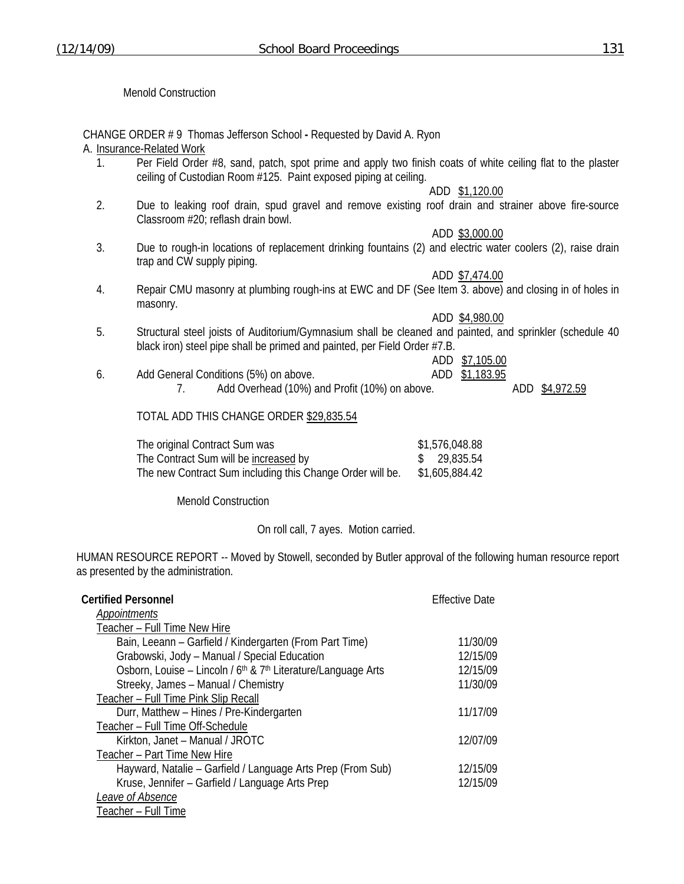Menold Construction

CHANGE ORDER # 9 Thomas Jefferson School **-** Requested by David A. Ryon

### A. Insurance-Related Work

1. Per Field Order #8, sand, patch, spot prime and apply two finish coats of white ceiling flat to the plaster ceiling of Custodian Room #125. Paint exposed piping at ceiling.

ADD \$1,120.00

- 2. Due to leaking roof drain, spud gravel and remove existing roof drain and strainer above fire-source Classroom #20; reflash drain bowl.
- ADD \$3,000.00 3. Due to rough-in locations of replacement drinking fountains (2) and electric water coolers (2), raise drain trap and CW supply piping.
- ADD \$7,474.00 4. Repair CMU masonry at plumbing rough-ins at EWC and DF (See Item 3. above) and closing in of holes in masonry.

ADD \$4,980.00

5. Structural steel joists of Auditorium/Gymnasium shall be cleaned and painted, and sprinkler (schedule 40 black iron) steel pipe shall be primed and painted, per Field Order #7.B.

ADD \$7,105.00

6. Add General Conditions (5%) on above. ADD \$1,183.95 7. Add Overhead (10%) and Profit (10%) on above. ADD \$4,972.59

## TOTAL ADD THIS CHANGE ORDER \$29,835.54

| The original Contract Sum was                             | \$1,576,048.88 |
|-----------------------------------------------------------|----------------|
| The Contract Sum will be increased by                     | \$29,835.54    |
| The new Contract Sum including this Change Order will be. | \$1,605,884.42 |

Menold Construction

On roll call, 7 ayes. Motion carried.

HUMAN RESOURCE REPORT -- Moved by Stowell, seconded by Butler approval of the following human resource report as presented by the administration.

| <b>Certified Personnel</b>                                                            | <b>Effective Date</b> |
|---------------------------------------------------------------------------------------|-----------------------|
| Appointments                                                                          |                       |
| Teacher - Full Time New Hire                                                          |                       |
| Bain, Leeann - Garfield / Kindergarten (From Part Time)                               | 11/30/09              |
| Grabowski, Jody - Manual / Special Education                                          | 12/15/09              |
| Osborn, Louise – Lincoln / 6 <sup>th</sup> & 7 <sup>th</sup> Literature/Language Arts | 12/15/09              |
| Streeky, James - Manual / Chemistry                                                   | 11/30/09              |
| Teacher - Full Time Pink Slip Recall                                                  |                       |
| Durr, Matthew - Hines / Pre-Kindergarten                                              | 11/17/09              |
| Teacher - Full Time Off-Schedule                                                      |                       |
| Kirkton, Janet - Manual / JROTC                                                       | 12/07/09              |
| Teacher - Part Time New Hire                                                          |                       |
| Hayward, Natalie – Garfield / Language Arts Prep (From Sub)                           | 12/15/09              |
| Kruse, Jennifer - Garfield / Language Arts Prep                                       | 12/15/09              |
| Leave of Absence                                                                      |                       |
| Teacher - Full Time                                                                   |                       |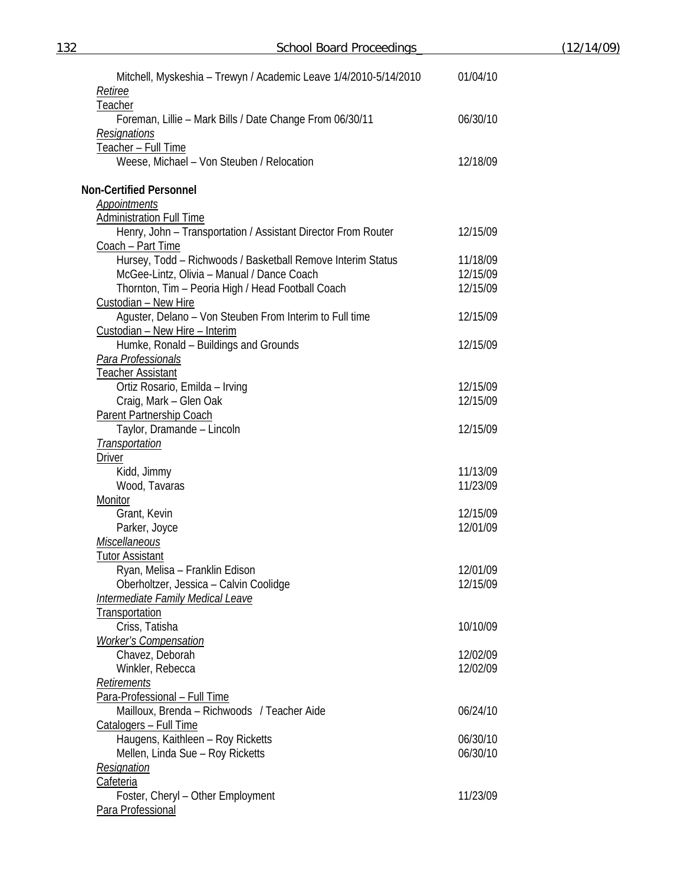| 132 | School Board Proceedings                                                     |          | (12/14/09) |
|-----|------------------------------------------------------------------------------|----------|------------|
|     |                                                                              |          |            |
|     | Mitchell, Myskeshia - Trewyn / Academic Leave 1/4/2010-5/14/2010             | 01/04/10 |            |
|     | Retiree<br>Teacher                                                           |          |            |
|     | Foreman, Lillie - Mark Bills / Date Change From 06/30/11                     | 06/30/10 |            |
|     | Resignations                                                                 |          |            |
|     | Teacher - Full Time                                                          |          |            |
|     | Weese, Michael - Von Steuben / Relocation                                    | 12/18/09 |            |
|     |                                                                              |          |            |
|     | <b>Non-Certified Personnel</b>                                               |          |            |
|     | Appointments<br><b>Administration Full Time</b>                              |          |            |
|     | Henry, John - Transportation / Assistant Director From Router                | 12/15/09 |            |
|     | Coach - Part Time                                                            |          |            |
|     | Hursey, Todd - Richwoods / Basketball Remove Interim Status                  | 11/18/09 |            |
|     | McGee-Lintz, Olivia - Manual / Dance Coach                                   | 12/15/09 |            |
|     | Thornton, Tim - Peoria High / Head Football Coach                            | 12/15/09 |            |
|     | Custodian - New Hire                                                         |          |            |
|     | Aguster, Delano - Von Steuben From Interim to Full time                      | 12/15/09 |            |
|     | Custodian - New Hire - Interim                                               |          |            |
|     | Humke, Ronald - Buildings and Grounds                                        | 12/15/09 |            |
|     | <b>Para Professionals</b>                                                    |          |            |
|     | <u>Teacher Assistant</u>                                                     |          |            |
|     | Ortiz Rosario, Emilda - Irving                                               | 12/15/09 |            |
|     | Craig, Mark - Glen Oak                                                       | 12/15/09 |            |
|     | <b>Parent Partnership Coach</b>                                              |          |            |
|     | Taylor, Dramande - Lincoln                                                   | 12/15/09 |            |
|     | <b>Transportation</b>                                                        |          |            |
|     | <b>Driver</b>                                                                | 11/13/09 |            |
|     | Kidd, Jimmy<br>Wood, Tavaras                                                 | 11/23/09 |            |
|     | Monitor                                                                      |          |            |
|     | Grant, Kevin                                                                 | 12/15/09 |            |
|     | Parker, Joyce                                                                | 12/01/09 |            |
|     | <b>Miscellaneous</b>                                                         |          |            |
|     | <b>Tutor Assistant</b>                                                       |          |            |
|     | Ryan, Melisa - Franklin Edison                                               | 12/01/09 |            |
|     | Oberholtzer, Jessica - Calvin Coolidge                                       | 12/15/09 |            |
|     | Intermediate Family Medical Leave                                            |          |            |
|     | Transportation                                                               |          |            |
|     | Criss, Tatisha                                                               | 10/10/09 |            |
|     | <b>Worker's Compensation</b>                                                 |          |            |
|     | Chavez, Deborah                                                              | 12/02/09 |            |
|     | Winkler, Rebecca                                                             | 12/02/09 |            |
|     | Retirements                                                                  |          |            |
|     | Para-Professional - Full Time<br>Mailloux, Brenda - Richwoods / Teacher Aide | 06/24/10 |            |
|     | Catalogers - Full Time                                                       |          |            |
|     | Haugens, Kaithleen - Roy Ricketts                                            | 06/30/10 |            |
|     | Mellen, Linda Sue - Roy Ricketts                                             | 06/30/10 |            |
|     | Resignation                                                                  |          |            |
|     | Cafeteria                                                                    |          |            |
|     | Foster, Cheryl - Other Employment                                            | 11/23/09 |            |
|     | Para Professional                                                            |          |            |
|     |                                                                              |          |            |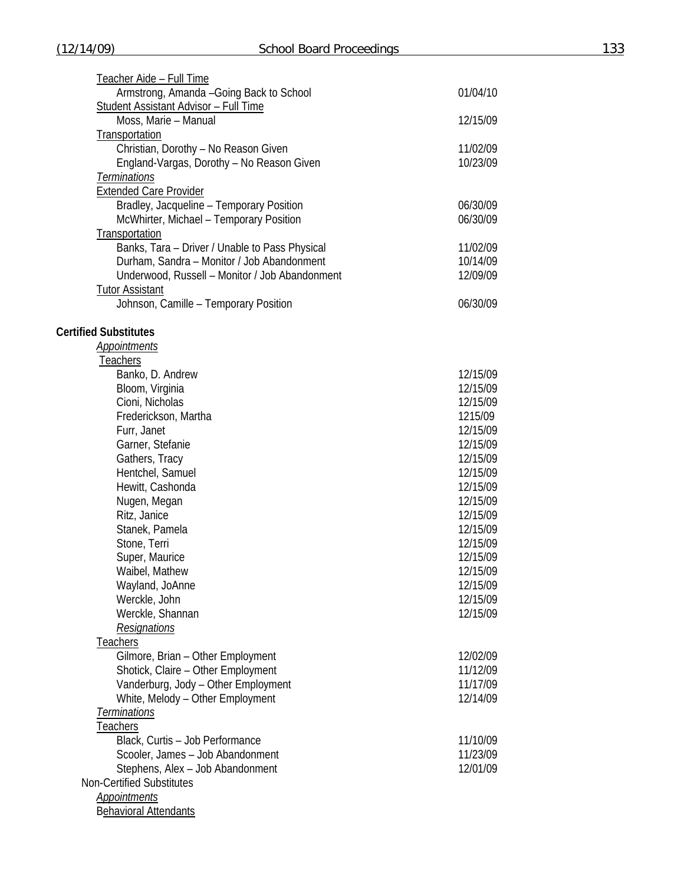| Teacher Aide - Full Time                       |          |
|------------------------------------------------|----------|
| Armstrong, Amanda - Going Back to School       | 01/04/10 |
| <b>Student Assistant Advisor - Full Time</b>   |          |
| Moss, Marie - Manual                           | 12/15/09 |
| Transportation                                 |          |
| Christian, Dorothy - No Reason Given           | 11/02/09 |
| England-Vargas, Dorothy - No Reason Given      | 10/23/09 |
| Terminations                                   |          |
| <b>Extended Care Provider</b>                  |          |
| Bradley, Jacqueline - Temporary Position       | 06/30/09 |
| McWhirter, Michael - Temporary Position        | 06/30/09 |
| Transportation                                 |          |
| Banks, Tara - Driver / Unable to Pass Physical | 11/02/09 |
| Durham, Sandra - Monitor / Job Abandonment     | 10/14/09 |
| Underwood, Russell - Monitor / Job Abandonment | 12/09/09 |
| <b>Tutor Assistant</b>                         |          |
| Johnson, Camille - Temporary Position          | 06/30/09 |
|                                                |          |
| <b>Certified Substitutes</b>                   |          |
| Appointments                                   |          |
| Teachers<br>Banko, D. Andrew                   | 12/15/09 |
| Bloom, Virginia                                | 12/15/09 |
| Cioni, Nicholas                                | 12/15/09 |
| Frederickson, Martha                           | 1215/09  |
| Furr, Janet                                    | 12/15/09 |
| Garner, Stefanie                               | 12/15/09 |
| Gathers, Tracy                                 | 12/15/09 |
| Hentchel, Samuel                               | 12/15/09 |
| Hewitt, Cashonda                               | 12/15/09 |
| Nugen, Megan                                   | 12/15/09 |
| Ritz, Janice                                   | 12/15/09 |
| Stanek, Pamela                                 | 12/15/09 |
| Stone, Terri                                   | 12/15/09 |
| Super, Maurice                                 | 12/15/09 |
| Waibel, Mathew                                 | 12/15/09 |
| Wayland, JoAnne                                | 12/15/09 |
| Werckle, John                                  | 12/15/09 |
| Werckle, Shannan                               | 12/15/09 |
| <b>Resignations</b>                            |          |
| <b>Teachers</b>                                |          |
| Gilmore, Brian - Other Employment              | 12/02/09 |
| Shotick, Claire - Other Employment             | 11/12/09 |
| Vanderburg, Jody - Other Employment            | 11/17/09 |
| White, Melody - Other Employment               | 12/14/09 |
| Terminations                                   |          |
| <b>Teachers</b>                                |          |
| Black, Curtis - Job Performance                | 11/10/09 |
| Scooler, James - Job Abandonment               | 11/23/09 |
| Stephens, Alex - Job Abandonment               | 12/01/09 |
| <b>Non-Certified Substitutes</b>               |          |
| <b>Appointments</b>                            |          |
| <b>Behavioral Attendants</b>                   |          |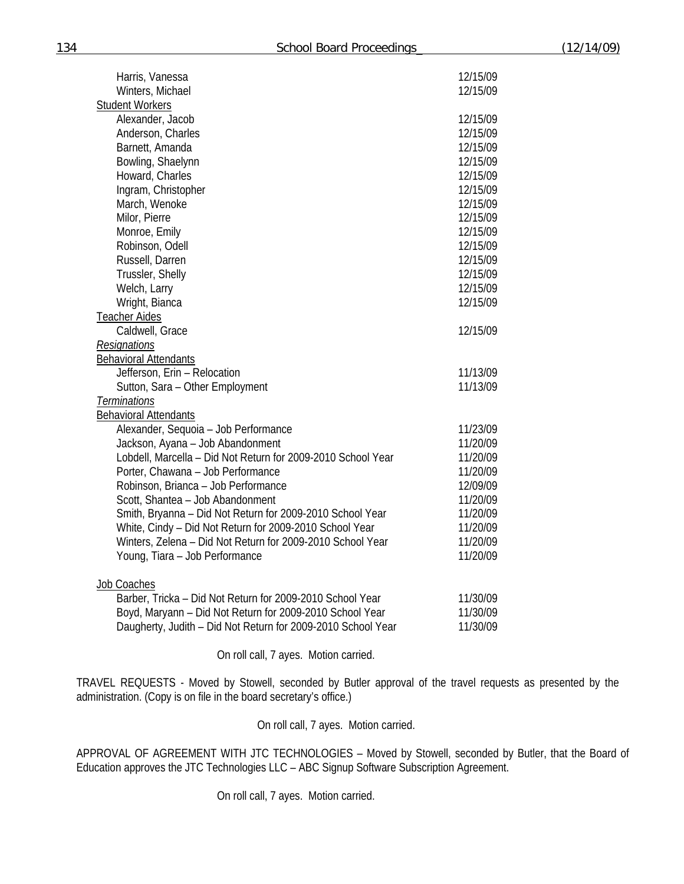| Harris, Vanessa                                              | 12/15/09 |
|--------------------------------------------------------------|----------|
| Winters, Michael                                             | 12/15/09 |
| <b>Student Workers</b>                                       |          |
| Alexander, Jacob                                             | 12/15/09 |
| Anderson, Charles                                            | 12/15/09 |
| Barnett, Amanda                                              | 12/15/09 |
| Bowling, Shaelynn                                            | 12/15/09 |
| Howard, Charles                                              | 12/15/09 |
| Ingram, Christopher                                          | 12/15/09 |
| March, Wenoke                                                | 12/15/09 |
| Milor, Pierre                                                | 12/15/09 |
| Monroe, Emily                                                | 12/15/09 |
| Robinson, Odell                                              | 12/15/09 |
| Russell, Darren                                              | 12/15/09 |
| Trussler, Shelly                                             | 12/15/09 |
| Welch, Larry                                                 | 12/15/09 |
| Wright, Bianca                                               | 12/15/09 |
| <b>Teacher Aides</b>                                         |          |
| Caldwell, Grace                                              | 12/15/09 |
| Resignations                                                 |          |
| <b>Behavioral Attendants</b>                                 |          |
| Jefferson, Erin - Relocation                                 | 11/13/09 |
| Sutton, Sara - Other Employment                              | 11/13/09 |
| Terminations                                                 |          |
| <b>Behavioral Attendants</b>                                 |          |
| Alexander, Sequoia - Job Performance                         | 11/23/09 |
| Jackson, Ayana - Job Abandonment                             | 11/20/09 |
| Lobdell, Marcella - Did Not Return for 2009-2010 School Year | 11/20/09 |
| Porter, Chawana - Job Performance                            | 11/20/09 |
| Robinson, Brianca - Job Performance                          | 12/09/09 |
| Scott, Shantea - Job Abandonment                             | 11/20/09 |
| Smith, Bryanna - Did Not Return for 2009-2010 School Year    | 11/20/09 |
| White, Cindy - Did Not Return for 2009-2010 School Year      | 11/20/09 |
| Winters, Zelena - Did Not Return for 2009-2010 School Year   | 11/20/09 |
| Young, Tiara - Job Performance                               | 11/20/09 |
| Job Coaches                                                  |          |
| Barber, Tricka - Did Not Return for 2009-2010 School Year    | 11/30/09 |
| Boyd, Maryann - Did Not Return for 2009-2010 School Year     | 11/30/09 |
| Daugherty, Judith - Did Not Return for 2009-2010 School Year | 11/30/09 |

On roll call, 7 ayes. Motion carried.

TRAVEL REQUESTS - Moved by Stowell, seconded by Butler approval of the travel requests as presented by the administration. (Copy is on file in the board secretary's office.)

On roll call, 7 ayes. Motion carried.

APPROVAL OF AGREEMENT WITH JTC TECHNOLOGIES – Moved by Stowell, seconded by Butler, that the Board of Education approves the JTC Technologies LLC – ABC Signup Software Subscription Agreement.

On roll call, 7 ayes. Motion carried.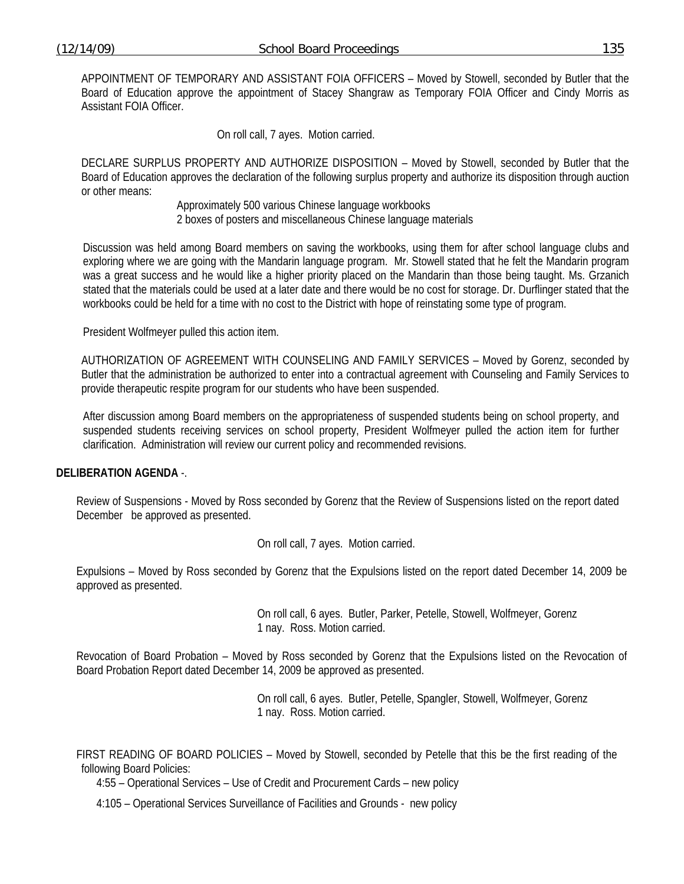APPOINTMENT OF TEMPORARY AND ASSISTANT FOIA OFFICERS – Moved by Stowell, seconded by Butler that the Board of Education approve the appointment of Stacey Shangraw as Temporary FOIA Officer and Cindy Morris as Assistant FOIA Officer.

On roll call, 7 ayes. Motion carried.

DECLARE SURPLUS PROPERTY AND AUTHORIZE DISPOSITION – Moved by Stowell, seconded by Butler that the Board of Education approves the declaration of the following surplus property and authorize its disposition through auction or other means:

Approximately 500 various Chinese language workbooks

2 boxes of posters and miscellaneous Chinese language materials

Discussion was held among Board members on saving the workbooks, using them for after school language clubs and exploring where we are going with the Mandarin language program. Mr. Stowell stated that he felt the Mandarin program was a great success and he would like a higher priority placed on the Mandarin than those being taught. Ms. Grzanich stated that the materials could be used at a later date and there would be no cost for storage. Dr. Durflinger stated that the workbooks could be held for a time with no cost to the District with hope of reinstating some type of program.

President Wolfmeyer pulled this action item.

AUTHORIZATION OF AGREEMENT WITH COUNSELING AND FAMILY SERVICES – Moved by Gorenz, seconded by Butler that the administration be authorized to enter into a contractual agreement with Counseling and Family Services to provide therapeutic respite program for our students who have been suspended.

After discussion among Board members on the appropriateness of suspended students being on school property, and suspended students receiving services on school property, President Wolfmeyer pulled the action item for further clarification. Administration will review our current policy and recommended revisions.

## **DELIBERATION AGENDA** -.

Review of Suspensions - Moved by Ross seconded by Gorenz that the Review of Suspensions listed on the report dated December be approved as presented.

On roll call, 7 ayes. Motion carried.

Expulsions – Moved by Ross seconded by Gorenz that the Expulsions listed on the report dated December 14, 2009 be approved as presented.

> On roll call, 6 ayes. Butler, Parker, Petelle, Stowell, Wolfmeyer, Gorenz 1 nay. Ross. Motion carried.

Revocation of Board Probation – Moved by Ross seconded by Gorenz that the Expulsions listed on the Revocation of Board Probation Report dated December 14, 2009 be approved as presented.

> On roll call, 6 ayes. Butler, Petelle, Spangler, Stowell, Wolfmeyer, Gorenz 1 nay. Ross. Motion carried.

FIRST READING OF BOARD POLICIES – Moved by Stowell, seconded by Petelle that this be the first reading of the following Board Policies:

4:55 – Operational Services – Use of Credit and Procurement Cards – new policy

4:105 – Operational Services Surveillance of Facilities and Grounds - new policy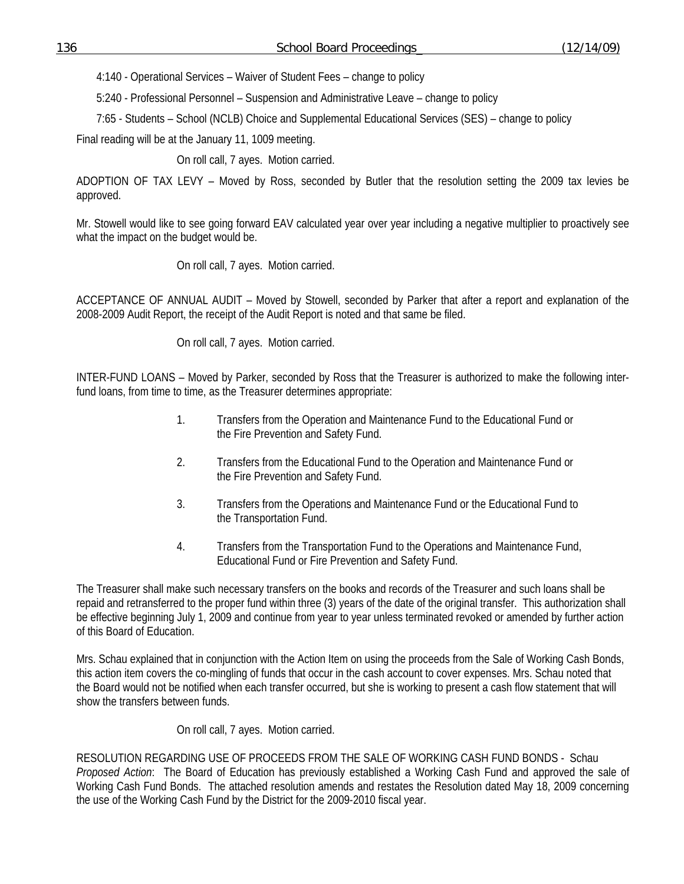4:140 - Operational Services – Waiver of Student Fees – change to policy

5:240 - Professional Personnel – Suspension and Administrative Leave – change to policy

7:65 - Students – School (NCLB) Choice and Supplemental Educational Services (SES) – change to policy

Final reading will be at the January 11, 1009 meeting.

On roll call, 7 ayes. Motion carried.

ADOPTION OF TAX LEVY – Moved by Ross, seconded by Butler that the resolution setting the 2009 tax levies be approved.

Mr. Stowell would like to see going forward EAV calculated year over year including a negative multiplier to proactively see what the impact on the budget would be.

On roll call, 7 ayes. Motion carried.

ACCEPTANCE OF ANNUAL AUDIT – Moved by Stowell, seconded by Parker that after a report and explanation of the 2008-2009 Audit Report, the receipt of the Audit Report is noted and that same be filed.

On roll call, 7 ayes. Motion carried.

INTER-FUND LOANS – Moved by Parker, seconded by Ross that the Treasurer is authorized to make the following interfund loans, from time to time, as the Treasurer determines appropriate:

- 1. Transfers from the Operation and Maintenance Fund to the Educational Fund or the Fire Prevention and Safety Fund.
- 2. Transfers from the Educational Fund to the Operation and Maintenance Fund or the Fire Prevention and Safety Fund.
- 3. Transfers from the Operations and Maintenance Fund or the Educational Fund to the Transportation Fund.
- 4. Transfers from the Transportation Fund to the Operations and Maintenance Fund, Educational Fund or Fire Prevention and Safety Fund.

The Treasurer shall make such necessary transfers on the books and records of the Treasurer and such loans shall be repaid and retransferred to the proper fund within three (3) years of the date of the original transfer. This authorization shall be effective beginning July 1, 2009 and continue from year to year unless terminated revoked or amended by further action of this Board of Education.

Mrs. Schau explained that in conjunction with the Action Item on using the proceeds from the Sale of Working Cash Bonds, this action item covers the co-mingling of funds that occur in the cash account to cover expenses. Mrs. Schau noted that the Board would not be notified when each transfer occurred, but she is working to present a cash flow statement that will show the transfers between funds.

On roll call, 7 ayes. Motion carried.

RESOLUTION REGARDING USE OF PROCEEDS FROM THE SALE OF WORKING CASH FUND BONDS - Schau *Proposed Action*: The Board of Education has previously established a Working Cash Fund and approved the sale of Working Cash Fund Bonds. The attached resolution amends and restates the Resolution dated May 18, 2009 concerning the use of the Working Cash Fund by the District for the 2009-2010 fiscal year.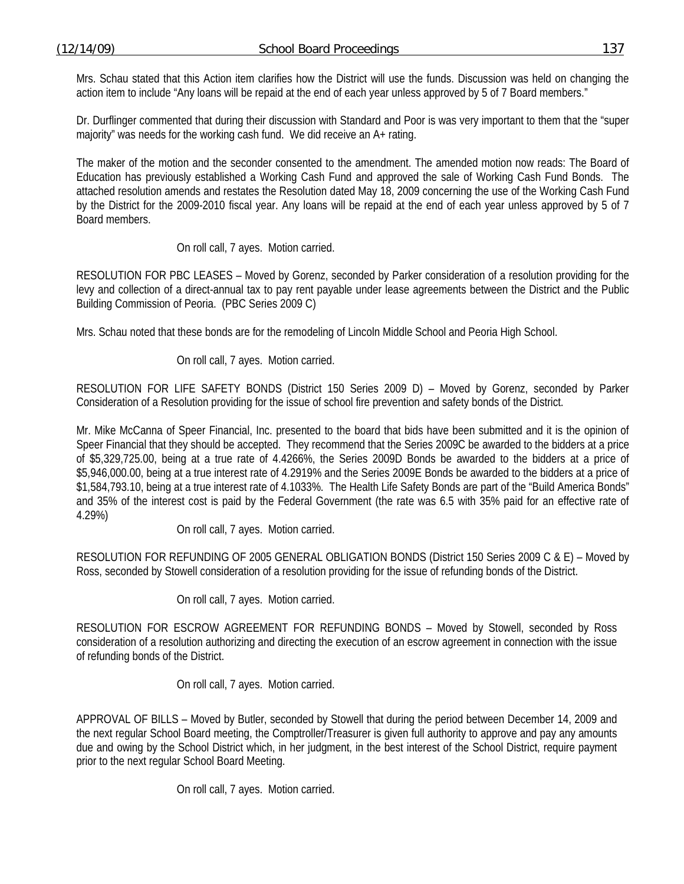Mrs. Schau stated that this Action item clarifies how the District will use the funds. Discussion was held on changing the action item to include "Any loans will be repaid at the end of each year unless approved by 5 of 7 Board members."

Dr. Durflinger commented that during their discussion with Standard and Poor is was very important to them that the "super majority" was needs for the working cash fund. We did receive an A+ rating.

The maker of the motion and the seconder consented to the amendment. The amended motion now reads: The Board of Education has previously established a Working Cash Fund and approved the sale of Working Cash Fund Bonds. The attached resolution amends and restates the Resolution dated May 18, 2009 concerning the use of the Working Cash Fund by the District for the 2009-2010 fiscal year. Any loans will be repaid at the end of each year unless approved by 5 of 7 Board members.

## On roll call, 7 ayes. Motion carried.

RESOLUTION FOR PBC LEASES – Moved by Gorenz, seconded by Parker consideration of a resolution providing for the levy and collection of a direct-annual tax to pay rent payable under lease agreements between the District and the Public Building Commission of Peoria. (PBC Series 2009 C)

Mrs. Schau noted that these bonds are for the remodeling of Lincoln Middle School and Peoria High School.

On roll call, 7 ayes. Motion carried.

RESOLUTION FOR LIFE SAFETY BONDS (District 150 Series 2009 D) – Moved by Gorenz, seconded by Parker Consideration of a Resolution providing for the issue of school fire prevention and safety bonds of the District.

Mr. Mike McCanna of Speer Financial, Inc. presented to the board that bids have been submitted and it is the opinion of Speer Financial that they should be accepted. They recommend that the Series 2009C be awarded to the bidders at a price of \$5,329,725.00, being at a true rate of 4.4266%, the Series 2009D Bonds be awarded to the bidders at a price of \$5,946,000.00, being at a true interest rate of 4.2919% and the Series 2009E Bonds be awarded to the bidders at a price of \$1,584,793.10, being at a true interest rate of 4.1033%. The Health Life Safety Bonds are part of the "Build America Bonds" and 35% of the interest cost is paid by the Federal Government (the rate was 6.5 with 35% paid for an effective rate of 4.29%)

On roll call, 7 ayes. Motion carried.

RESOLUTION FOR REFUNDING OF 2005 GENERAL OBLIGATION BONDS (District 150 Series 2009 C & E) – Moved by Ross, seconded by Stowell consideration of a resolution providing for the issue of refunding bonds of the District.

On roll call, 7 ayes. Motion carried.

RESOLUTION FOR ESCROW AGREEMENT FOR REFUNDING BONDS – Moved by Stowell, seconded by Ross consideration of a resolution authorizing and directing the execution of an escrow agreement in connection with the issue of refunding bonds of the District.

On roll call, 7 ayes. Motion carried.

APPROVAL OF BILLS – Moved by Butler, seconded by Stowell that during the period between December 14, 2009 and the next regular School Board meeting, the Comptroller/Treasurer is given full authority to approve and pay any amounts due and owing by the School District which, in her judgment, in the best interest of the School District, require payment prior to the next regular School Board Meeting.

On roll call, 7 ayes. Motion carried.